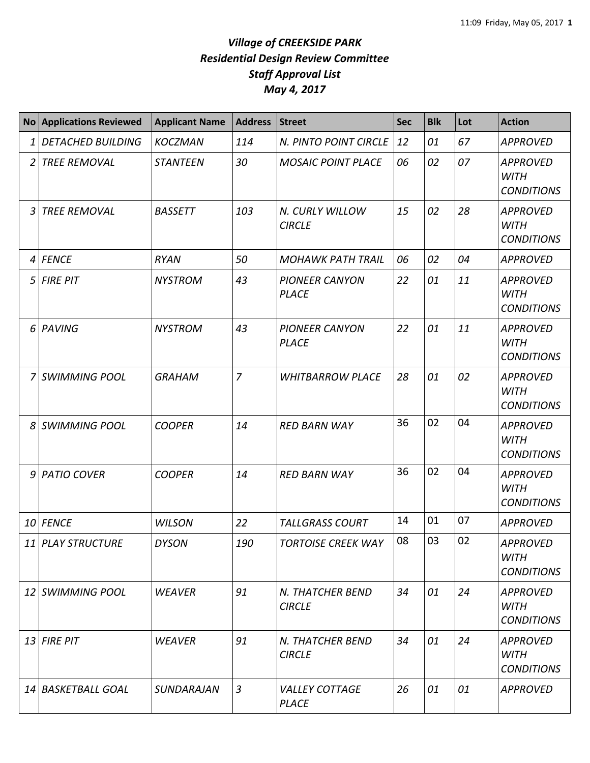## *Village of CREEKSIDE PARK Residential Design Review Committee Staff Approval List May 4, 2017*

|                 | No Applications Reviewed | <b>Applicant Name</b> | <b>Address</b> | Street                                | <b>Sec</b> | <b>Blk</b> | Lot | <b>Action</b>                                       |
|-----------------|--------------------------|-----------------------|----------------|---------------------------------------|------------|------------|-----|-----------------------------------------------------|
| 1               | <b>DETACHED BUILDING</b> | <b>KOCZMAN</b>        | 114            | N. PINTO POINT CIRCLE                 | 12         | 01         | 67  | <b>APPROVED</b>                                     |
| 2               | <b>TREE REMOVAL</b>      | <b>STANTEEN</b>       | 30             | <b>MOSAIC POINT PLACE</b>             | 06         | 02         | 07  | <b>APPROVED</b><br><b>WITH</b><br><b>CONDITIONS</b> |
|                 | <b>TREE REMOVAL</b>      | <b>BASSETT</b>        | 103            | N. CURLY WILLOW<br><b>CIRCLE</b>      | 15         | 02         | 28  | <b>APPROVED</b><br><b>WITH</b><br><b>CONDITIONS</b> |
| 4               | <b>FENCE</b>             | <b>RYAN</b>           | 50             | <b>MOHAWK PATH TRAIL</b>              | 06         | 02         | 04  | <b>APPROVED</b>                                     |
| 5               | <b>FIRE PIT</b>          | <b>NYSTROM</b>        | 43             | <b>PIONEER CANYON</b><br><b>PLACE</b> | 22         | 01         | 11  | <b>APPROVED</b><br><b>WITH</b><br><b>CONDITIONS</b> |
| 6               | PAVING                   | <b>NYSTROM</b>        | 43             | <b>PIONEER CANYON</b><br><b>PLACE</b> | 22         | 01         | 11  | <b>APPROVED</b><br><b>WITH</b><br><b>CONDITIONS</b> |
| 7               | <b>SWIMMING POOL</b>     | <b>GRAHAM</b>         | $\overline{7}$ | <b>WHITBARROW PLACE</b>               | 28         | 01         | 02  | <b>APPROVED</b><br><b>WITH</b><br><b>CONDITIONS</b> |
| 8               | <b>SWIMMING POOL</b>     | <b>COOPER</b>         | 14             | <b>RED BARN WAY</b>                   | 36         | 02         | 04  | <b>APPROVED</b><br><b>WITH</b><br><b>CONDITIONS</b> |
| 9               | <b>PATIO COVER</b>       | <b>COOPER</b>         | 14             | <b>RED BARN WAY</b>                   | 36         | 02         | 04  | <b>APPROVED</b><br><b>WITH</b><br><b>CONDITIONS</b> |
|                 | 10 FENCE                 | <b>WILSON</b>         | 22             | <b>TALLGRASS COURT</b>                | 14         | 01         | 07  | <b>APPROVED</b>                                     |
|                 | 11 PLAY STRUCTURE        | <b>DYSON</b>          | 190            | <b>TORTOISE CREEK WAY</b>             | 08         | 03         | 02  | <b>APPROVED</b><br><b>WITH</b><br><b>CONDITIONS</b> |
| 12 <sup>1</sup> | SWIMMING POOL            | <b>WEAVER</b>         | 91             | N. THATCHER BEND<br><b>CIRCLE</b>     | 34         | 01         | 24  | <b>APPROVED</b><br><b>WITH</b><br><b>CONDITIONS</b> |
|                 | $13$ FIRE PIT            | <b>WEAVER</b>         | 91             | N. THATCHER BEND<br><b>CIRCLE</b>     | 34         | 01         | 24  | <b>APPROVED</b><br><b>WITH</b><br><b>CONDITIONS</b> |
|                 | 14 BASKETBALL GOAL       | <b>SUNDARAJAN</b>     | $\mathfrak{Z}$ | <b>VALLEY COTTAGE</b><br><b>PLACE</b> | 26         | 01         | 01  | <b>APPROVED</b>                                     |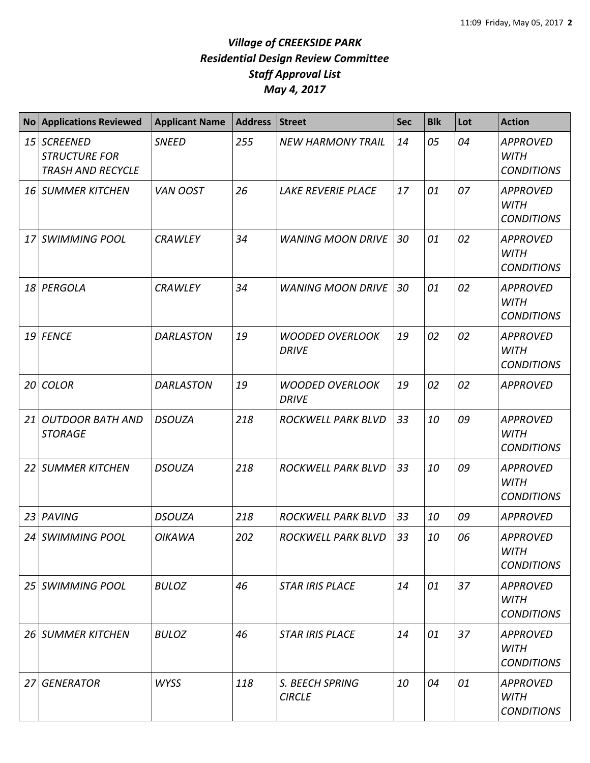## *Village of CREEKSIDE PARK Residential Design Review Committee Staff Approval List May 4, 2017*

| <b>No</b>       | <b>Applications Reviewed</b>                                        | <b>Applicant Name</b> | <b>Address</b> | <b>Street</b>                          | <b>Sec</b> | <b>Blk</b> | Lot | <b>Action</b>                                       |
|-----------------|---------------------------------------------------------------------|-----------------------|----------------|----------------------------------------|------------|------------|-----|-----------------------------------------------------|
| 15              | <b>SCREENED</b><br><b>STRUCTURE FOR</b><br><b>TRASH AND RECYCLE</b> | <b>SNEED</b>          | 255            | <b>NEW HARMONY TRAIL</b>               | 14         | 05         | 04  | <b>APPROVED</b><br><b>WITH</b><br><b>CONDITIONS</b> |
|                 | 16 SUMMER KITCHEN                                                   | VAN OOST              | 26             | LAKE REVERIE PLACE                     | 17         | 01         | 07  | <b>APPROVED</b><br><b>WITH</b><br><b>CONDITIONS</b> |
| 17 <sup>1</sup> | <b>SWIMMING POOL</b>                                                | <b>CRAWLEY</b>        | 34             | <b>WANING MOON DRIVE</b>               | 30         | 01         | 02  | <b>APPROVED</b><br><b>WITH</b><br><b>CONDITIONS</b> |
| 18              | PERGOLA                                                             | <b>CRAWLEY</b>        | 34             | <b>WANING MOON DRIVE</b>               | 30         | 01         | 02  | <b>APPROVED</b><br><b>WITH</b><br><b>CONDITIONS</b> |
| 19              | <b>FENCE</b>                                                        | <b>DARLASTON</b>      | 19             | <b>WOODED OVERLOOK</b><br><b>DRIVE</b> | 19         | 02         | 02  | <b>APPROVED</b><br><b>WITH</b><br><b>CONDITIONS</b> |
| 20 <sub>l</sub> | <b>COLOR</b>                                                        | <b>DARLASTON</b>      | 19             | <b>WOODED OVERLOOK</b><br><b>DRIVE</b> | 19         | 02         | 02  | <b>APPROVED</b>                                     |
| 21              | <b>OUTDOOR BATH AND</b><br><b>STORAGE</b>                           | <b>DSOUZA</b>         | 218            | ROCKWELL PARK BLVD                     | 33         | 10         | 09  | <b>APPROVED</b><br><b>WITH</b><br><b>CONDITIONS</b> |
|                 | 22 SUMMER KITCHEN                                                   | <b>DSOUZA</b>         | 218            | ROCKWELL PARK BLVD                     | 33         | 10         | 09  | <b>APPROVED</b><br><b>WITH</b><br><b>CONDITIONS</b> |
| 23              | PAVING                                                              | <b>DSOUZA</b>         | 218            | ROCKWELL PARK BLVD                     | 33         | 10         | 09  | <b>APPROVED</b>                                     |
|                 | 24 SWIMMING POOL                                                    | <b>OIKAWA</b>         | 202            | ROCKWELL PARK BLVD                     | 33         | 10         | 06  | <b>APPROVED</b><br><b>WITH</b><br><b>CONDITIONS</b> |
|                 | 25 SWIMMING POOL                                                    | <b>BULOZ</b>          | 46             | <b>STAR IRIS PLACE</b>                 | 14         | 01         | 37  | <b>APPROVED</b><br>WITH<br><b>CONDITIONS</b>        |
|                 | <b>26 SUMMER KITCHEN</b>                                            | <b>BULOZ</b>          | 46             | <b>STAR IRIS PLACE</b>                 | 14         | 01         | 37  | <b>APPROVED</b><br><b>WITH</b><br><b>CONDITIONS</b> |
| 27I             | <b>GENERATOR</b>                                                    | <b>WYSS</b>           | 118            | S. BEECH SPRING<br><b>CIRCLE</b>       | 10         | 04         | 01  | <b>APPROVED</b><br><b>WITH</b><br><b>CONDITIONS</b> |